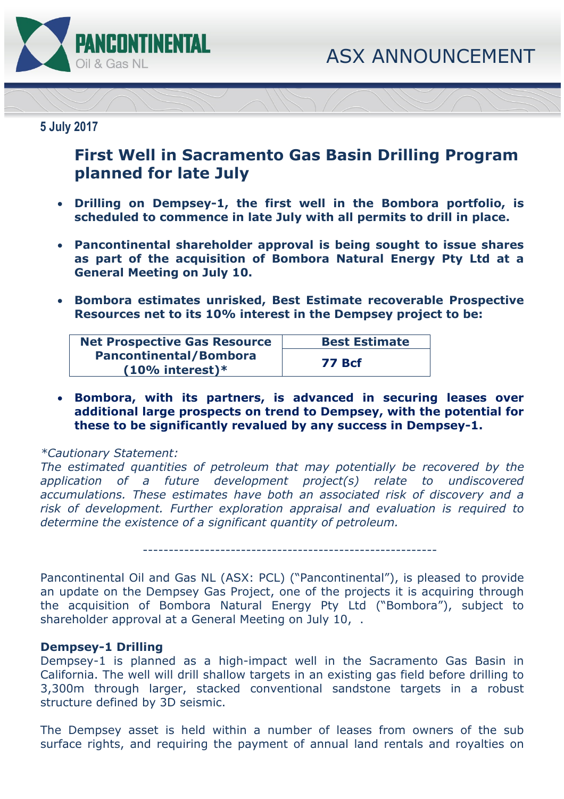

## **5 July 2017**

# **First Well in Sacramento Gas Basin Drilling Program planned for late July**

- **Drilling on Dempsey-1, the first well in the Bombora portfolio, is scheduled to commence in late July with all permits to drill in place.**
- **Pancontinental shareholder approval is being sought to issue shares as part of the acquisition of Bombora Natural Energy Pty Ltd at a General Meeting on July 10.**
- **Bombora estimates unrisked, Best Estimate recoverable Prospective Resources net to its 10% interest in the Dempsey project to be:**

| <b>Net Prospective Gas Resource</b> | <b>Best Estimate</b> |  |
|-------------------------------------|----------------------|--|
| <b>Pancontinental/Bombora</b>       |                      |  |
| $(10\%$ interest)*                  | <b>77 Bcf</b>        |  |

 **Bombora, with its partners, is advanced in securing leases over additional large prospects on trend to Dempsey, with the potential for these to be significantly revalued by any success in Dempsey-1.** 

### *\*Cautionary Statement:*

*The estimated quantities of petroleum that may potentially be recovered by the application of a future development project(s) relate to undiscovered accumulations. These estimates have both an associated risk of discovery and a risk of development. Further exploration appraisal and evaluation is required to determine the existence of a significant quantity of petroleum.* 

---------------------------------------------------------

Pancontinental Oil and Gas NL (ASX: PCL) ("Pancontinental"), is pleased to provide an update on the Dempsey Gas Project, one of the projects it is acquiring through the acquisition of Bombora Natural Energy Pty Ltd ("Bombora"), subject to shareholder approval at a General Meeting on July 10, .

### **Dempsey-1 Drilling**

Dempsey-1 is planned as a high-impact well in the Sacramento Gas Basin in California. The well will drill shallow targets in an existing gas field before drilling to 3,300m through larger, stacked conventional sandstone targets in a robust structure defined by 3D seismic.

The Dempsey asset is held within a number of leases from owners of the sub surface rights, and requiring the payment of annual land rentals and royalties on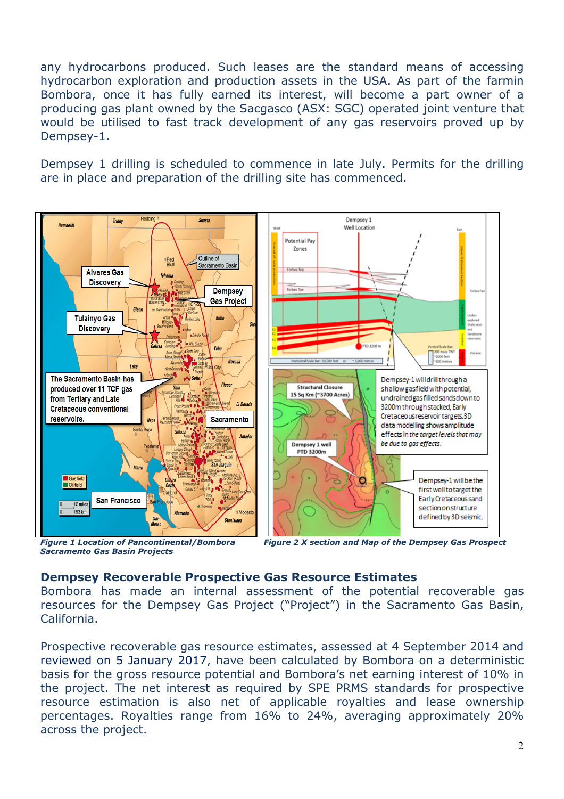any hydrocarbons produced. Such leases are the standard means of accessing hydrocarbon exploration and production assets in the USA. As part of the farmin Bombora, once it has fully earned its interest, will become a part owner of a producing gas plant owned by the Sacgasco (ASX: SGC) operated joint venture that would be utilised to fast track development of any gas reservoirs proved up by Dempsey-1.

Dempsey 1 drilling is scheduled to commence in late July. Permits for the drilling are in place and preparation of the drilling site has commenced.



*Figure 1 Location of Pancontinental/Bombora Figure 2 X section and Map of the Dempsey Gas Prospect Sacramento Gas Basin Projects* 

### **Dempsey Recoverable Prospective Gas Resource Estimates**

Bombora has made an internal assessment of the potential recoverable gas resources for the Dempsey Gas Project ("Project") in the Sacramento Gas Basin, California.

Prospective recoverable gas resource estimates, assessed at 4 September 2014 and reviewed on 5 January 2017, have been calculated by Bombora on a deterministic basis for the gross resource potential and Bombora's net earning interest of 10% in the project. The net interest as required by SPE PRMS standards for prospective resource estimation is also net of applicable royalties and lease ownership percentages. Royalties range from 16% to 24%, averaging approximately 20% across the project.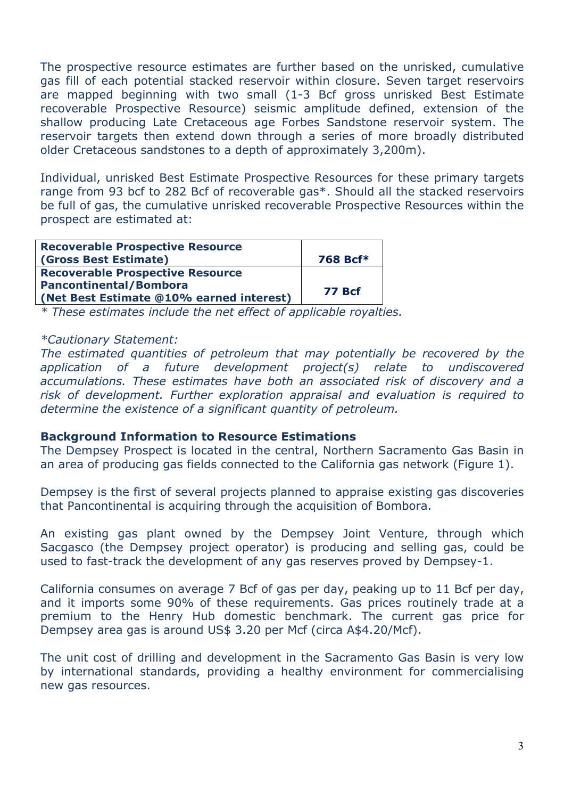The prospective resource estimates are further based on the unrisked, cumulative gas fill of each potential stacked reservoir within closure. Seven target reservoirs are mapped beginning with two small (1-3 Bcf gross unrisked Best Estimate recoverable Prospective Resource) seismic amplitude defined, extension of the shallow producing Late Cretaceous age Forbes Sandstone reservoir system. The reservoir targets then extend down through a series of more broadly distributed older Cretaceous sandstones to a depth of approximately 3,200m).

Individual, unrisked Best Estimate Prospective Resources for these primary targets range from 93 bcf to 282 Bcf of recoverable gas\*. Should all the stacked reservoirs be full of gas, the cumulative unrisked recoverable Prospective Resources within the prospect are estimated at:

| <b>Recoverable Prospective Resource</b>  |               |
|------------------------------------------|---------------|
| (Gross Best Estimate)                    | 768 Bcf*      |
| <b>Recoverable Prospective Resource</b>  |               |
| <b>Pancontinental/Bombora</b>            | <b>77 Bcf</b> |
| (Net Best Estimate @10% earned interest) |               |

*\* These estimates include the net effect of applicable royalties.* 

### *\*Cautionary Statement:*

*The estimated quantities of petroleum that may potentially be recovered by the application of a future development project(s) relate to undiscovered accumulations. These estimates have both an associated risk of discovery and a risk of development. Further exploration appraisal and evaluation is required to determine the existence of a significant quantity of petroleum.* 

### **Background Information to Resource Estimations**

The Dempsey Prospect is located in the central, Northern Sacramento Gas Basin in an area of producing gas fields connected to the California gas network (Figure 1).

Dempsey is the first of several projects planned to appraise existing gas discoveries that Pancontinental is acquiring through the acquisition of Bombora.

An existing gas plant owned by the Dempsey Joint Venture, through which Sacgasco (the Dempsey project operator) is producing and selling gas, could be used to fast-track the development of any gas reserves proved by Dempsey-1.

California consumes on average 7 Bcf of gas per day, peaking up to 11 Bcf per day, and it imports some 90% of these requirements. Gas prices routinely trade at a premium to the Henry Hub domestic benchmark. The current gas price for Dempsey area gas is around US\$ 3.20 per Mcf (circa A\$4.20/Mcf).

The unit cost of drilling and development in the Sacramento Gas Basin is very low by international standards, providing a healthy environment for commercialising new gas resources.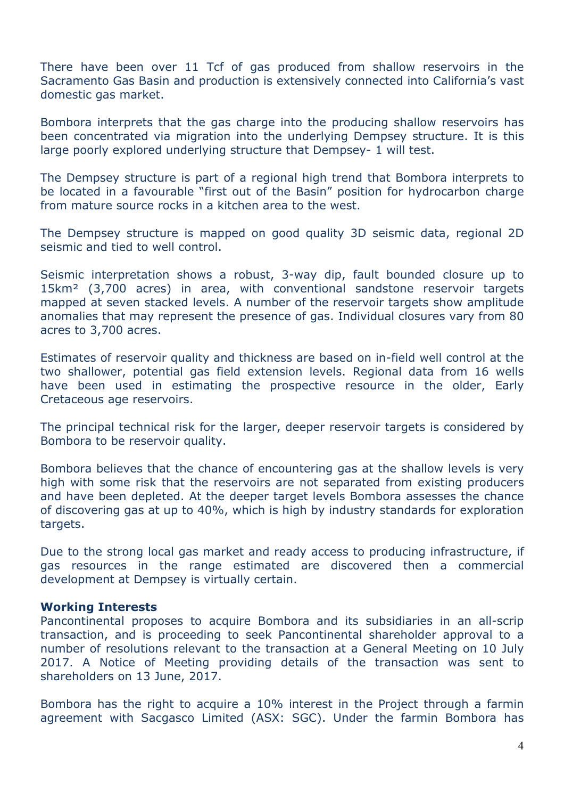There have been over 11 Tcf of gas produced from shallow reservoirs in the Sacramento Gas Basin and production is extensively connected into California's vast domestic gas market.

Bombora interprets that the gas charge into the producing shallow reservoirs has been concentrated via migration into the underlying Dempsey structure. It is this large poorly explored underlying structure that Dempsey- 1 will test.

The Dempsey structure is part of a regional high trend that Bombora interprets to be located in a favourable "first out of the Basin" position for hydrocarbon charge from mature source rocks in a kitchen area to the west.

The Dempsey structure is mapped on good quality 3D seismic data, regional 2D seismic and tied to well control.

Seismic interpretation shows a robust, 3-way dip, fault bounded closure up to 15km² (3,700 acres) in area, with conventional sandstone reservoir targets mapped at seven stacked levels. A number of the reservoir targets show amplitude anomalies that may represent the presence of gas. Individual closures vary from 80 acres to 3,700 acres.

Estimates of reservoir quality and thickness are based on in-field well control at the two shallower, potential gas field extension levels. Regional data from 16 wells have been used in estimating the prospective resource in the older, Early Cretaceous age reservoirs.

The principal technical risk for the larger, deeper reservoir targets is considered by Bombora to be reservoir quality.

Bombora believes that the chance of encountering gas at the shallow levels is very high with some risk that the reservoirs are not separated from existing producers and have been depleted. At the deeper target levels Bombora assesses the chance of discovering gas at up to 40%, which is high by industry standards for exploration targets.

Due to the strong local gas market and ready access to producing infrastructure, if gas resources in the range estimated are discovered then a commercial development at Dempsey is virtually certain.

### **Working Interests**

Pancontinental proposes to acquire Bombora and its subsidiaries in an all-scrip transaction, and is proceeding to seek Pancontinental shareholder approval to a number of resolutions relevant to the transaction at a General Meeting on 10 July 2017. A Notice of Meeting providing details of the transaction was sent to shareholders on 13 June, 2017.

Bombora has the right to acquire a 10% interest in the Project through a farmin agreement with Sacgasco Limited (ASX: SGC). Under the farmin Bombora has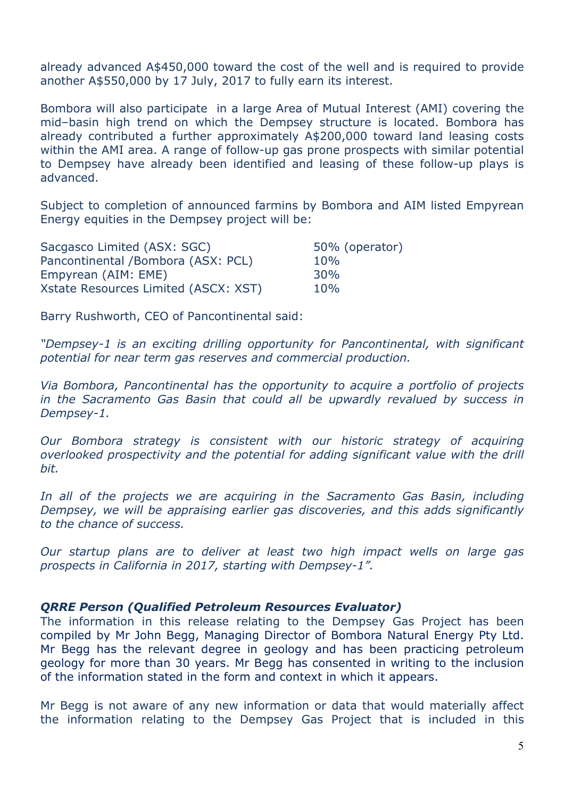already advanced A\$450,000 toward the cost of the well and is required to provide another A\$550,000 by 17 July, 2017 to fully earn its interest.

Bombora will also participate in a large Area of Mutual Interest (AMI) covering the mid–basin high trend on which the Dempsey structure is located. Bombora has already contributed a further approximately A\$200,000 toward land leasing costs within the AMI area. A range of follow-up gas prone prospects with similar potential to Dempsey have already been identified and leasing of these follow-up plays is advanced.

Subject to completion of announced farmins by Bombora and AIM listed Empyrean Energy equities in the Dempsey project will be:

| Sacgasco Limited (ASX: SGC)          | 50% (operator) |
|--------------------------------------|----------------|
| Pancontinental /Bombora (ASX: PCL)   | 10%            |
| Empyrean (AIM: EME)                  | 30%            |
| Xstate Resources Limited (ASCX: XST) | 10%            |

Barry Rushworth, CEO of Pancontinental said:

*"Dempsey-1 is an exciting drilling opportunity for Pancontinental, with significant potential for near term gas reserves and commercial production.* 

*Via Bombora, Pancontinental has the opportunity to acquire a portfolio of projects in the Sacramento Gas Basin that could all be upwardly revalued by success in Dempsey-1.* 

*Our Bombora strategy is consistent with our historic strategy of acquiring overlooked prospectivity and the potential for adding significant value with the drill bit.* 

In all of the projects we are acquiring in the Sacramento Gas Basin, including *Dempsey, we will be appraising earlier gas discoveries, and this adds significantly to the chance of success.* 

*Our startup plans are to deliver at least two high impact wells on large gas prospects in California in 2017, starting with Dempsey-1".* 

### *QRRE Person (Qualified Petroleum Resources Evaluator)*

The information in this release relating to the Dempsey Gas Project has been compiled by Mr John Begg, Managing Director of Bombora Natural Energy Pty Ltd. Mr Begg has the relevant degree in geology and has been practicing petroleum geology for more than 30 years. Mr Begg has consented in writing to the inclusion of the information stated in the form and context in which it appears.

Mr Begg is not aware of any new information or data that would materially affect the information relating to the Dempsey Gas Project that is included in this